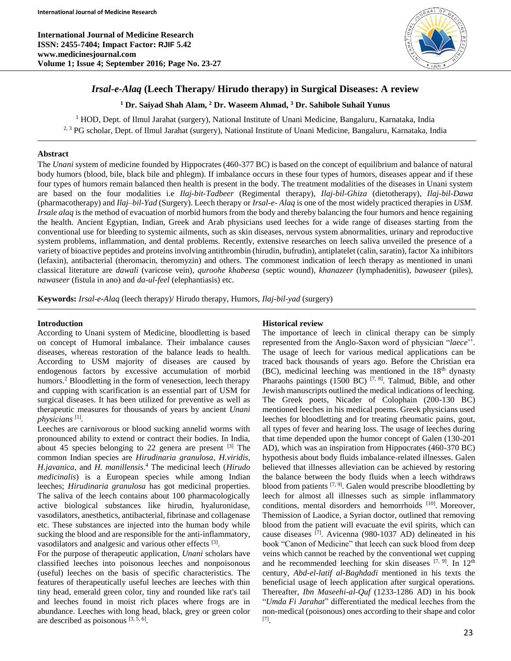**International Journal of Medicine Research ISSN: 2455-7404; Impact Factor: RJIF 5.42 www.medicinesjournal.com Volume 1; Issue 4; September 2016; Page No. 23-27**



# *Irsal-e-Alaq* **(Leech Therapy/ Hirudo therapy) in Surgical Diseases: A review**

**<sup>1</sup> Dr. Saiyad Shah Alam, <sup>2</sup> Dr. Waseem Ahmad, <sup>3</sup> Dr. Sahibole Suhail Yunus**

<sup>1</sup> HOD, Dept. of Ilmul Jarahat (surgery), National Institute of Unani Medicine, Bangaluru, Karnataka, India <sup>2, 3</sup> PG scholar, Dept. of Ilmul Jarahat (surgery), National Institute of Unani Medicine, Bangaluru, Karnataka, India

#### **Abstract**

The *Unani* system of medicine founded by Hippocrates (460-377 BC) is based on the concept of equilibrium and balance of natural body humors (blood, bile, black bile and phlegm). If imbalance occurs in these four types of humors, diseases appear and if these four types of humors remain balanced then health is present in the body. The treatment modalities of the diseases in Unani system are based on the four modalities i.e *Ilaj-bit-Tadbeer* (Regimental therapy), *Ilaj-bil-Ghiza* (dietotherapy), *Ilaj-bil-Dawa* (pharmacotherapy) and *Ilaj–bil-Yad* (Surgery). Leech therapy or *Irsal-e- Alaq* is one of the most widely practiced therapies in *USM. Irsale alaq* is the method of evacuation of morbid humors from the body and thereby balancing the four humors and hence regaining the health. Ancient Egyptian, Indian, Greek and Arab physicians used leeches for a wide range of diseases starting from the conventional use for bleeding to systemic ailments, such as skin diseases, nervous system abnormalities, urinary and reproductive system problems, inflammation, and dental problems. Recently, extensive researches on leech saliva unveiled the presence of a variety of bioactive peptides and proteins involving antithrombin (hirudin, bufrudin), antiplatelet (calin, saratin), factor Xa inhibitors (lefaxin), antibacterial (theromacin, theromyzin) and others. The commonest indication of leech therapy as mentioned in unani classical literature are *dawali* (varicose vein), *quroohe khabeesa* (septic wound), *khanazeer* (lymphadenitis), *bawaseer* (piles), *nawaseer* (fistula in ano) and *da-ul-feel* (elephantiasis) etc.

**Keywords:** *Irsal-e-Alaq* (leech therapy)/ Hirudo therapy, Humors, *Ilaj-bil-yad* (surgery)

#### **Introduction**

According to Unani system of Medicine, bloodletting is based on concept of Humoral imbalance. Their imbalance causes diseases, whereas restoration of the balance leads to health. According to USM majority of diseases are caused by endogenous factors by excessive accumulation of morbid humors.<sup>2</sup> Bloodletting in the form of venesection, leech therapy and cupping with scarification is an essential part of USM for surgical diseases. It has been utilized for preventive as well as therapeutic measures for thousands of years by ancient *Unani physicians* [1] *.*

Leeches are carnivorous or blood sucking annelid worms with pronounced ability to extend or contract their bodies. In India, about 45 species belonging to 22 genera are present  $[3]$  The common Indian species are *Hirudinaria granulosa*, *H.viridis*, *H.javanica*, and *H. manillensis*. <sup>4</sup> The medicinal leech (*Hirudo medicinalis*) is a European species while among Indian leeches; *Hirudinaria granulosa* has got medicinal properties. The saliva of the leech contains about 100 pharmacologically active biological substances like hirudin, hyaluronidase, vasodilators, anesthetics, antibacterial, fibrinase and collagenase etc. These substances are injected into the human body while sucking the blood and are responsible for the anti-inflammatory, vasodilators and analgesic and various other effects [3].

For the purpose of therapeutic application, *Unani* scholars have classified leeches into poisonous leeches and nonpoisonous (useful) leeches on the basis of specific characteristics. The features of therapeutically useful leeches are leeches with thin tiny head, emerald green color, tiny and rounded like rat's tail and leeches found in moist rich places where frogs are in abundance. Leeches with long head, black, grey or green color are described as poisonous [3, 5, 6].

## **Historical review**

The importance of leech in clinical therapy can be simply represented from the Anglo-Saxon word of physician "*laece*''. The usage of leech for various medical applications can be traced back thousands of years ago. Before the Christian era  $(BC)$ , medicinal leeching was mentioned in the 18<sup>th</sup> dynasty Pharaohs paintings  $(1500 \text{ BC})$  <sup>[7, 8]</sup>. Talmud, Bible, and other Jewish manuscripts outlined the medical indications of leeching. The Greek poets, Nicader of Colophain (200-130 BC) mentioned leeches in his medical poems. Greek physicians used leeches for bloodletting and for treating rheumatic pains, gout, all types of fever and hearing loss. The usage of leeches during that time depended upon the humor concept of Galen (130-201 AD), which was an inspiration from Hippocrates (460-370 BC) hypothesis about body fluids imbalance-related illnesses. Galen believed that illnesses alleviation can be achieved by restoring the balance between the body fluids when a leech withdraws blood from patients  $[7, 9]$ . Galen would prescribe bloodletting by leech for almost all illnesses such as simple inflammatory conditions, mental disorders and hemorrhoids [10]. Moreover, Themission of Laodice, a Syrian doctor, outlined that removing blood from the patient will evacuate the evil spirits, which can cause diseases [7] . Avicenna (980-1037 AD) delineated in his book "Canon of Medicine" that leech can suck blood from deep veins which cannot be reached by the conventional wet cupping and he recommended leeching for skin diseases  $[7, 9]$ . In  $12<sup>th</sup>$ century, *Abd-el-latif al-Baghdadi* mentioned in his texts the beneficial usage of leech application after surgical operations. Thereafter, *Ibn Maseehi-al-Quf* (1233-1286 AD) in his book "*Umda Fi Jarahat*" differentiated the medical leeches from the non-medical (poisonous) ones according to their shape and color [7] .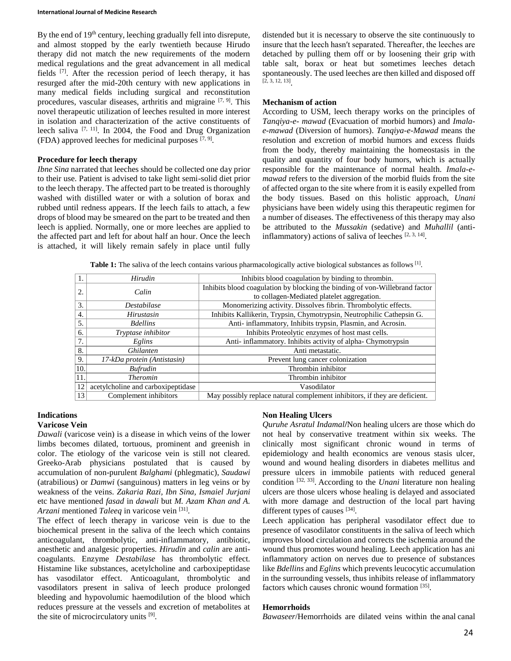#### **International Journal of Medicine Research**

By the end of 19<sup>th</sup> century, leeching gradually fell into disrepute, and almost stopped by the early twentieth because Hirudo therapy did not match the new requirements of the modern medical regulations and the great advancement in all medical fields <sup>[7]</sup>. After the recession period of leech therapy, it has resurged after the mid-20th century with new applications in many medical fields including surgical and reconstitution procedures, vascular diseases, arthritis and migraine  $[7, 9]$ . This novel therapeutic utilization of leeches resulted in more interest in isolation and characterization of the active constituents of leech saliva  $[7, 11]$ . In 2004, the Food and Drug Organization (FDA) approved leeches for medicinal purposes  $[7, 9]$ .

#### **Procedure for leech therapy**

*Ibne Sina* narrated that leeches should be collected one day prior to their use. Patient is advised to take light semi-solid diet prior to the leech therapy. The affected part to be treated is thoroughly washed with distilled water or with a solution of borax and rubbed until redness appears. If the leech fails to attach, a few drops of blood may be smeared on the part to be treated and then leech is applied. Normally, one or more leeches are applied to the affected part and left for about half an hour. Once the leech is attached, it will likely remain safely in place until fully

distended but it is necessary to observe the site continuously to insure that the leech hasn′t separated. Thereafter, the leeches are detached by pulling them off or by loosening their grip with table salt, borax or heat but sometimes leeches detach spontaneously. The used leeches are then killed and disposed off [2, 3, 12, 13] .

#### **Mechanism of action**

According to USM, leech therapy works on the principles of *Tanqiya-e- mawad* (Evacuation of morbid humors) and *Imalae-mawad* (Diversion of humors). *Tanqiya-e-Mawad* means the resolution and excretion of morbid humors and excess fluids from the body, thereby maintaining the homeostasis in the quality and quantity of four body humors, which is actually responsible for the maintenance of normal health. *Imala-emawad* refers to the diversion of the morbid fluids from the site of affected organ to the site where from it is easily expelled from the body tissues. Based on this holistic approach, *Unani* physicians have been widely using this therapeutic regimen for a number of diseases. The effectiveness of this therapy may also be attributed to the *Mussakin* (sedative) and *Muhallil* (antiinflammatory) actions of saliva of leeches  $[2, 3, 14]$ .

**Table 1:** The saliva of the leech contains various pharmacologically active biological substances as follows [1].

|      | Hirudin                            | Inhibits blood coagulation by binding to thrombin.                          |
|------|------------------------------------|-----------------------------------------------------------------------------|
| 2.   | Calin                              | Inhibits blood coagulation by blocking the binding of von-Willebrand factor |
|      |                                    | to collagen-Mediated platelet aggregation.                                  |
| 3.   | <i>Destabilase</i>                 | Monomerizing activity. Dissolves fibrin. Thrombolytic effects.              |
| 4.   | Hirustasin                         | Inhibits Kallikerin, Trypsin, Chymotrypsin, Neutrophilic Cathepsin G.       |
| 5.   | <b>Bdellins</b>                    | Anti- inflammatory, Inhibits trypsin, Plasmin, and Acrosin.                 |
| 6.   | Tryptase inhibitor                 | Inhibits Proteolytic enzymes of host mast cells.                            |
| 7.   | Eglins                             | Anti- inflammatory. Inhibits activity of alpha- Chymotrypsin                |
| 8.   | <i><b>Ghilanten</b></i>            | Anti metastatic.                                                            |
| 9.   | 17-kDa protein (Antistasin)        | Prevent lung cancer colonization                                            |
| 10.  | <b>Bufrudin</b>                    | Thrombin inhibitor                                                          |
| '11. | <b>Theromin</b>                    | Thrombin inhibitor                                                          |
| 12   | acetylcholine and carboxipeptidase | Vasodilator                                                                 |
| 13   | Complement inhibitors              | May possibly replace natural complement inhibitors, if they are deficient.  |

# **Indications**

#### **Varicose Vein**

*Dawali* (varicose vein) is a disease in which veins of the lower limbs becomes dilated, tortuous, prominent and greenish in color. The etiology of the varicose vein is still not cleared. Greeko-Arab physicians postulated that is caused by accumulation of non-purulent *Balghami* (phlegmatic), *Saudawi* (atrabilious) or *Damwi* (sanguinous) matters in leg veins or by weakness of the veins. *Zakaria Razi, Ibn Sina, Ismaiel Jurjani* etc have mentioned *fasad* in *dawali* but *M. Azam Khan and A. Arzani* mentioned *Taleeq* in varicose vein [31] .

The effect of leech therapy in varicose vein is due to the biochemical present in the saliva of the leech which contains anticoagulant, thrombolytic, anti-inflammatory, antibiotic, anesthetic and analgesic properties. *Hirudin* and *calin* are anticoagulants. Enzyme *Destabilase* has thrombolytic effect. Histamine like substances, acetylcholine and carboxipeptidase has vasodilator effect. Anticoagulant, thrombolytic and vasodilators present in saliva of leech produce prolonged bleeding and hypovolumic haemodilution of the blood which reduces pressure at the vessels and excretion of metabolites at the site of microcirculatory units [9].

#### **Non Healing Ulcers**

*Quruhe Asratul Indamal***/**Non healing ulcers are those which do not heal by conservative treatment within six weeks. The clinically most significant chronic wound in terms of epidemiology and health economics are venous stasis ulcer, wound and wound healing disorders in diabetes mellitus and pressure ulcers in immobile patients with reduced general condition [32, 33] . According to the *Unani* literature non healing ulcers are those ulcers whose healing is delayed and associated with more damage and destruction of the local part having different types of causes [34].

Leech application has peripheral vasodilator effect due to presence of vasodilator constituents in the saliva of leech which improves blood circulation and corrects the ischemia around the wound thus promotes wound healing. Leech application has ani inflammatory action on nerves due to presence of substances like *Bdellins* and *Eglins* which prevents leucocytic accumulation in the surrounding vessels, thus inhibits release of inflammatory factors which causes chronic wound formation [35].

#### **Hemorrhoids**

*Bawaseer*/Hemorrhoids are dilated veins within the anal canal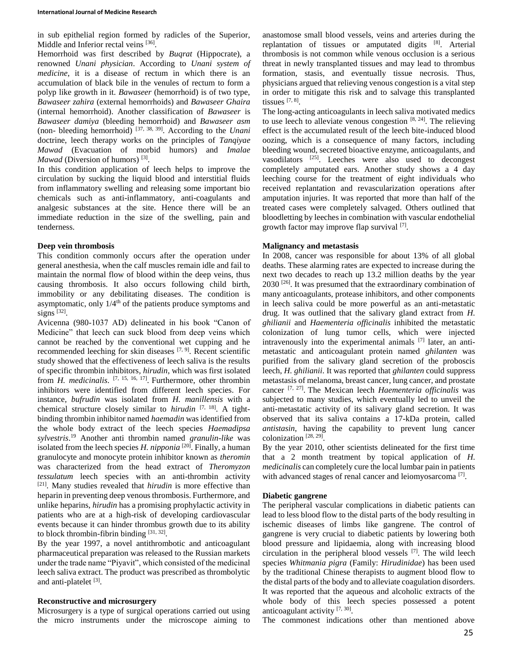in sub epithelial region formed by radicles of the Superior, Middle and Inferior rectal veins [36].

Hemorrhoid was first described by *Buqrat* (Hippocrate), a renowned *Unani physician*. According to *Unani system of medicine*, it is a disease of rectum in which there is an accumulation of black bile in the venules of rectum to form a polyp like growth in it. *Bawaseer* (hemorrhoid) is of two type, *Bawaseer zahira* (external hemorrhoids) and *Bawaseer Ghaira*  (internal hemorrhoid). Another classification of *Bawaseer* is *Bawaseer damiya* (bleeding hemorrhoid) and *Bawaseer asm*  (non- bleeding hemorrhoid) [37, 38, 39] . According to the *Unani*  doctrine, leech therapy works on the principles of *Tanqiyae Mawad* (Evacuation of morbid humors) and *Imalae Mawad* (Diversion of humors)<sup>[3]</sup>.

In this condition application of leech helps to improve the circulation by sucking the liquid blood and interstitial fluids from inflammatory swelling and releasing some important bio chemicals such as anti-inflammatory, anti-coagulants and analgesic substances at the site. Hence there will be an immediate reduction in the size of the swelling, pain and tenderness.

#### **Deep vein thrombosis**

This condition commonly occurs after the operation under general anesthesia, when the calf muscles remain idle and fail to maintain the normal flow of blood within the deep veins, thus causing thrombosis. It also occurs following child birth, immobility or any debilitating diseases. The condition is asymptomatic, only  $1/4<sup>th</sup>$  of the patients produce symptoms and signs [32].

Avicenna (980-1037 AD) delineated in his book "Canon of Medicine" that leech can suck blood from deep veins which cannot be reached by the conventional wet cupping and he recommended leeching for skin diseases <sup>[7, 9]</sup>. Recent scientific study showed that the effectiveness of leech saliva is the results of specific thrombin inhibitors*, hirudin*, which was first isolated from *H. medicinalis*. [7, 15, 16, 17] . Furthermore, other thrombin inhibitors were identified from different leech species. For instance*, bufrudin* was isolated from *H. manillensis* with a chemical structure closely similar to *hirudin* [7, 18] . A tightbinding thrombin inhibitor named *haemadin* was identified from the whole body extract of the leech species *Haemadipsa sylvestris*. <sup>19</sup> Another anti thrombin named *granulin-like* was isolated from the leech species *H. nipponia* <sup>[20]</sup>. Finally, a human granulocyte and monocyte protein inhibitor known as *theromin* was characterized from the head extract of *Theromyzon tessulatum* leech species with an anti-thrombin activity [21] . Many studies revealed that *hirudin* is more effective than heparin in preventing deep venous thrombosis. Furthermore, and unlike heparins, *hirudin* has a promising prophylactic activity in patients who are at a high-risk of developing cardiovascular events because it can hinder thrombus growth due to its ability to block thrombin-fibrin binding  $[31, 32]$ .

By the year 1997, a novel antithrombotic and anticoagulant pharmaceutical preparation was released to the Russian markets under the trade name "Piyavit", which consisted of the medicinal leech saliva extract. The product was prescribed as thrombolytic and anti-platelet [3].

#### **Reconstructive and microsurgery**

Microsurgery is a type of surgical operations carried out using the micro instruments under the microscope aiming to anastomose small blood vessels, veins and arteries during the replantation of tissues or amputated digits  $[8]$ . Arterial thrombosis is not common while venous occlusion is a serious threat in newly transplanted tissues and may lead to thrombus formation, stasis, and eventually tissue necrosis. Thus, physicians argued that relieving venous congestion is a vital step in order to mitigate this risk and to salvage this transplanted tissues  $[7, 8]$ .

The long-acting anticoagulants in leech saliva motivated medics to use leech to alleviate venous congestion  $[8, 24]$ . The relieving effect is the accumulated result of the leech bite-induced blood oozing, which is a consequence of many factors, including bleeding wound, secreted bioactive enzyme, anticoagulants, and vasodilators <sup>[25]</sup>. Leeches were also used to decongest completely amputated ears. Another study shows a 4 day leeching course for the treatment of eight individuals who received replantation and revascularization operations after amputation injuries. It was reported that more than half of the treated cases were completely salvaged. Others outlined that bloodletting by leeches in combination with vascular endothelial growth factor may improve flap survival [7].

#### **Malignancy and metastasis**

In 2008, cancer was responsible for about 13% of all global deaths. These alarming rates are expected to increase during the next two decades to reach up 13.2 million deaths by the year 2030<sup>[26]</sup>. It was presumed that the extraordinary combination of many anticoagulants, protease inhibitors, and other components in leech saliva could be more powerful as an anti-metastatic drug. It was outlined that the salivary gland extract from *H. ghilianii* and *Haementeria officinalis* inhibited the metastatic colonization of lung tumor cells, which were injected intravenously into the experimental animals [7] later, an antimetastatic and anticoagulant protein named *ghilanten* was purified from the salivary gland secretion of the proboscis leech, *H. ghilianii*. It was reported that *ghilanten* could suppress metastasis of melanoma, breast cancer, lung cancer, and prostate cancer [7, 27] . The Mexican leech *Haementeria officinalis* was subjected to many studies, which eventually led to unveil the anti-metastatic activity of its salivary gland secretion. It was observed that its saliva contains a 17-kDa protein, called *antistasin*, having the capability to prevent lung cancer colonization [28, 29] .

By the year 2010, other scientists delineated for the first time that a 2 month treatment by topical application of *H. medicinalis* can completely cure the local lumbar pain in patients with advanced stages of renal cancer and leiomyosarcoma<sup>[7]</sup>.

### **Diabetic gangrene**

The peripheral vascular complications in diabetic patients can lead to less blood flow to the distal parts of the body resulting in ischemic diseases of limbs like gangrene. The control of gangrene is very crucial to diabetic patients by lowering both blood pressure and lipidaemia, along with increasing blood circulation in the peripheral blood vessels [7] . The wild leech species *Whitmania pigra* (Family: *Hirudinidae*) has been used by the traditional Chinese therapists to augment blood flow to the distal parts of the body and to alleviate coagulation disorders. It was reported that the aqueous and alcoholic extracts of the whole body of this leech species possessed a potent anticoagulant activity [7, 30].

The commonest indications other than mentioned above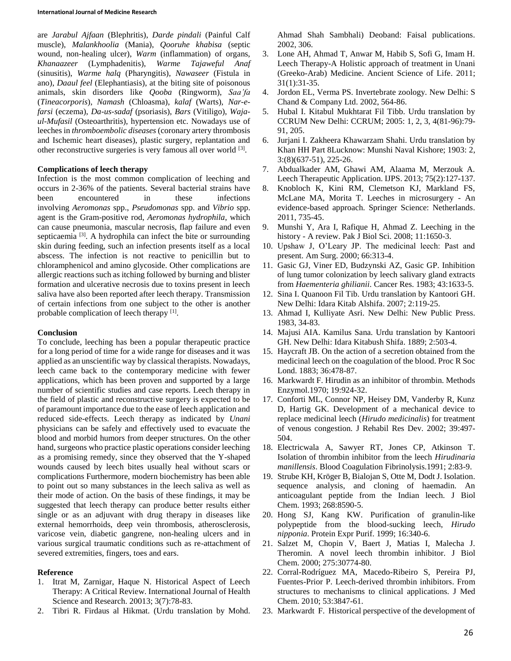are *Jarabul Ajfaan* (Blephritis), *Darde pindali* (Painful Calf muscle), *Malankhoolia* (Mania), *Qooruhe khabisa* (septic wound, non-healing ulcer), *Warm* (inflammation) of organs, *Khanaazeer* (Lymphadenitis), *Warme Tajaweful Anaf* (sinusitis), *Warme halq* (Pharyngitis), *Nawaseer* (Fistula in ano), *Daaul feel* (Elephantiasis), at the biting site of poisonous animals, skin disorders like *Qooba* (Ringworm), *Saa'fa* (*Tineacorporis*), *Namash* (Chloasma), *kalaf* (Warts), *Nar-efarsi* (eczema), *Da-us-sadaf* (psoriasis), *Bars* (Vitiligo), *Wajaul-Mufasil* (Osteoarthritis), hypertension etc. Nowadays use of leeches in *thromboembolic diseases* (coronary artery thrombosis and Ischemic heart diseases), plastic surgery, replantation and other reconstructive surgeries is very famous all over world [3].

#### **Complications of leech therapy**

Infection is the most common complication of leeching and occurs in 2-36% of the patients. Several bacterial strains have been encountered in these infections involving *Aeromonas* spp., *Pseudomonas* spp. and *Vibrio* spp. agent is the Gram-positive rod, *Aeromonas hydrophila*, which can cause pneumonia, mascular necrosis, flap failure and even septicaemia<sup>[3]</sup>. A hydrophila can infect the bite or surrounding skin during feeding, such an infection presents itself as a local abscess. The infection is not reactive to penicillin but to chloramphenicol and amino glycoside. Other complications are allergic reactions such as itching followed by burning and blister formation and ulcerative necrosis due to toxins present in leech saliva have also been reported after leech therapy. Transmission of certain infections from one subject to the other is another probable complication of leech therapy [1].

#### **Conclusion**

To conclude, leeching has been a popular therapeutic practice for a long period of time for a wide range for diseases and it was applied as an unscientific way by classical therapists. Nowadays, leech came back to the contemporary medicine with fewer applications, which has been proven and supported by a large number of scientific studies and case reports. Leech therapy in the field of plastic and reconstructive surgery is expected to be of paramount importance due to the ease of leech application and reduced side-effects. Leech therapy as indicated by *Unani*  physicians can be safely and effectively used to evacuate the blood and morbid humors from deeper structures. On the other hand, surgeons who practice plastic operations consider leeching as a promising remedy, since they observed that the Y-shaped wounds caused by leech bites usually heal without scars or complications Furthermore, modern biochemistry has been able to point out so many substances in the leech saliva as well as their mode of action. On the basis of these findings, it may be suggested that leech therapy can produce better results either single or as an adjuvant with drug therapy in diseases like external hemorrhoids, deep vein thrombosis, atherosclerosis, varicose vein, diabetic gangrene, non-healing ulcers and in various surgical traumatic conditions such as re-attachment of severed extremities, fingers, toes and ears.

### **Reference**

- 1. Itrat M, Zarnigar, Haque N. Historical Aspect of Leech Therapy: A Critical Review. International Journal of Health Science and Research. 20013; 3(7):78-83.
- 2. Tibri R. Firdaus al Hikmat. (Urdu translation by Mohd.

Ahmad Shah Sambhali) Deoband: Faisal publications. 2002, 306.

- 3. Lone AH, Ahmad T, Anwar M, Habib S, Sofi G, Imam H. Leech Therapy-A Holistic approach of treatment in Unani (Greeko-Arab) Medicine. Ancient Science of Life. 2011; 31(1):31-35.
- 4. Jordon EL, Verma PS. Invertebrate zoology. New Delhi: S Chand & Company Ltd. 2002, 564-86.
- 5. Hubal I. Kitabul Mukhtarat Fil Tibb. Urdu translation by CCRUM New Delhi: CCRUM; 2005: 1, 2, 3, 4(81-96):79- 91, 205.
- 6. Jurjani I. Zakheera Khawarzam Shahi. Urdu translation by Khan HH Part 8Lucknow: Munshi Naval Kishore; 1903: 2, 3:(8)(637-51), 225-26.
- 7. Abdualkader AM, Ghawi AM, Alaama M, Merzouk A. Leech Therapeutic Application. IJPS. 2013; 75(2):127-137.
- 8. Knobloch K, Kini RM, Clemetson KJ, Markland FS, McLane MA, Morita T. Leeches in microsurgery - An evidence-based approach. Springer Science: Netherlands. 2011, 735-45.
- 9. Munshi Y, Ara I, Rafique H, Ahmad Z. Leeching in the history - A review. Pak J Biol Sci. 2008; 11:1650-3.
- 10. Upshaw J, O'Leary JP. The medicinal leech: Past and present. Am Surg. 2000; 66:313-4.
- 11. Gasic GJ, Viner ED, Budzynski AZ, Gasic GP. Inhibition of lung tumor colonization by leech salivary gland extracts from *Haementeria ghilianii*. Cancer Res. 1983; 43:1633-5.
- 12. Sina I. Quanoon Fil Tib. Urdu translation by Kantoori GH. New Delhi: Idara Kitab Alshifa. 2007; 2:119-25.
- 13. Ahmad I, Kulliyate Asri. New Delhi: New Public Press. 1983, 34-83.
- 14. Majusi AIA. Kamilus Sana. Urdu translation by Kantoori GH. New Delhi: Idara Kitabush Shifa. 1889; 2:503-4.
- 15. Haycraft JB. On the action of a secretion obtained from the medicinal leech on the coagulation of the blood. Proc R Soc Lond. 1883; 36:478-87.
- 16. Markwardt F. Hirudin as an inhibitor of thrombin. Methods Enzymol.1970; 19:924-32.
- 17. Conforti ML, Connor NP, Heisey DM, Vanderby R, Kunz D, Hartig GK. Development of a mechanical device to replace medicinal leech (*Hirudo medicinalis*) for treatment of venous congestion. J Rehabil Res Dev. 2002; 39:497- 504.
- 18. Electricwala A, Sawyer RT, Jones CP, Atkinson T. Isolation of thrombin inhibitor from the leech *Hirudinaria manillensis*. Blood Coagulation Fibrinolysis.1991; 2:83-9.
- 19. Strube KH, Kröger B, Bialojan S, Otte M, Dodt J. Isolation. sequence analysis, and cloning of haemadin. An anticoagulant peptide from the Indian leech. J Biol Chem. 1993; 268:8590-5.
- 20. Hong SJ, Kang KW. Purification of granulin-like polypeptide from the blood-sucking leech, *Hirudo nipponia*. Protein Expr Purif. 1999; 16:340-6.
- 21. Salzet M, Chopin V, Baert J, Matias I, Malecha J. Theromin. A novel leech thrombin inhibitor. J Biol Chem. 2000; 275:30774-80.
- 22. Corral-Rodríguez MA, Macedo-Ribeiro S, Pereira PJ, Fuentes-Prior P. Leech-derived thrombin inhibitors. From structures to mechanisms to clinical applications. J Med Chem. 2010; 53:3847-61.
- 23. Markwardt F. Historical perspective of the development of